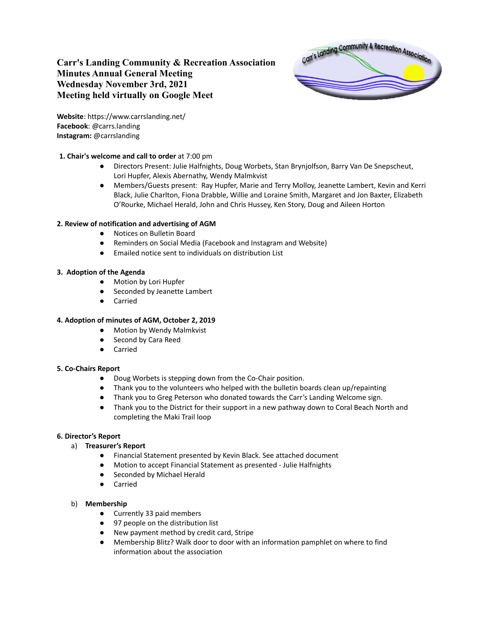# **Carr's Landing Community & Recreation Association Minutes Annual General Meeting Wednesday November 3rd, 2021 Meeting held virtually on Google Meet**



**Website**: https://www.carrslanding.net/ **Facebook**: @carrs.landing **Instagram:** @carrslanding

# **1. Chair's welcome and call to order** at 7:00 pm

- Directors Present: Julie Halfnights, Doug Worbets, Stan Brynjolfson, Barry Van De Snepscheut, Lori Hupfer, Alexis Abernathy, Wendy Malmkvist
- Members/Guests present: Ray Hupfer, Marie and Terry Molloy, Jeanette Lambert, Kevin and Kerri Black, Julie Charlton, Fiona Drabble, Willie and Loraine Smith, Margaret and Jon Baxter, Elizabeth O'Rourke, Michael Herald, John and Chris Hussey, Ken Story, Doug and Aileen Horton

# **2. Review of notification and advertising of AGM**

- Notices on Bulletin Board
- Reminders on Social Media (Facebook and Instagram and Website)
- Emailed notice sent to individuals on distribution List

## **3. Adoption of the Agenda**

- Motion by Lori Hupfer
- Seconded by Jeanette Lambert
- Carried

### **4. Adoption of minutes of AGM, October 2, 2019**

- Motion by Wendy Malmkvist
- Second by Cara Reed
- Carried

### **5. Co-Chairs Report**

- Doug Worbets is stepping down from the Co-Chair position.
- Thank you to the volunteers who helped with the bulletin boards clean up/repainting
- Thank you to Greg Peterson who donated towards the Carr's Landing Welcome sign.
- Thank you to the District for their support in a new pathway down to Coral Beach North and completing the Maki Trail loop

### **6. Director's Report**

- a) **Treasurer's Report**
	- Financial Statement presented by Kevin Black. See attached document
	- Motion to accept Financial Statement as presented Julie Halfnights
	- Seconded by Michael Herald
	- Carried

### b) **Membership**

- Currently 33 paid members
- 97 people on the distribution list
- New payment method by credit card, Stripe
- Membership Blitz? Walk door to door with an information pamphlet on where to find information about the association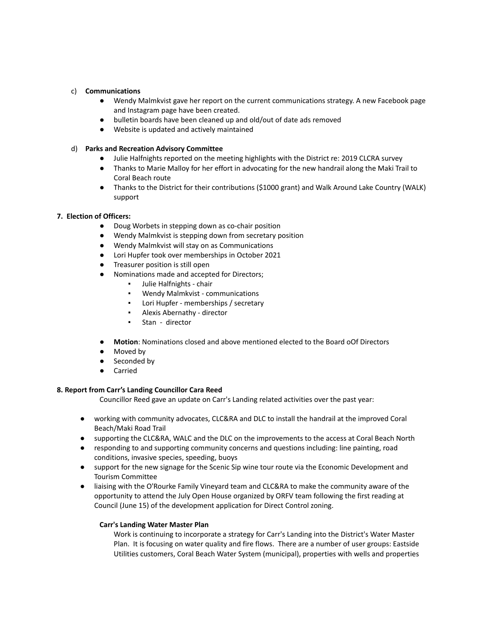#### c) **Communications**

- Wendy Malmkvist gave her report on the current communications strategy. A new Facebook page and Instagram page have been created.
- bulletin boards have been cleaned up and old/out of date ads removed
- Website is updated and actively maintained

#### d) **Parks and Recreation Advisory Committee**

- Julie Halfnights reported on the meeting highlights with the District re: 2019 CLCRA survey
- Thanks to Marie Malloy for her effort in advocating for the new handrail along the Maki Trail to Coral Beach route
- Thanks to the District for their contributions (\$1000 grant) and Walk Around Lake Country (WALK) support

### **7. Election of Officers:**

- Doug Worbets in stepping down as co-chair position
- Wendy Malmkvist is stepping down from secretary position
- Wendy Malmkvist will stay on as Communications
- Lori Hupfer took over memberships in October 2021
- Treasurer position is still open
- Nominations made and accepted for Directors;
	- Julie Halfnights chair
	- Wendy Malmkvist communications
	- Lori Hupfer memberships / secretary
	- Alexis Abernathy director
	- Stan director
- **Motion**: Nominations closed and above mentioned elected to the Board oOf Directors
- Moved by
- Seconded by
- Carried

### **8. Report from Carr's Landing Councillor Cara Reed**

Councillor Reed gave an update on Carr's Landing related activities over the past year:

- working with community advocates, CLC&RA and DLC to install the handrail at the improved Coral Beach/Maki Road Trail
- supporting the CLC&RA, WALC and the DLC on the improvements to the access at Coral Beach North
- responding to and supporting community concerns and questions including: line painting, road conditions, invasive species, speeding, buoys
- support for the new signage for the Scenic Sip wine tour route via the Economic Development and Tourism Committee
- liaising with the O'Rourke Family Vineyard team and CLC&RA to make the community aware of the opportunity to attend the July Open House organized by ORFV team following the first reading at Council (June 15) of the development application for Direct Control zoning.

### **Carr's Landing Water Master Plan**

Work is continuing to incorporate a strategy for Carr's Landing into the District's Water Master Plan. It is focusing on water quality and fire flows. There are a number of user groups: Eastside Utilities customers, Coral Beach Water System (municipal), properties with wells and properties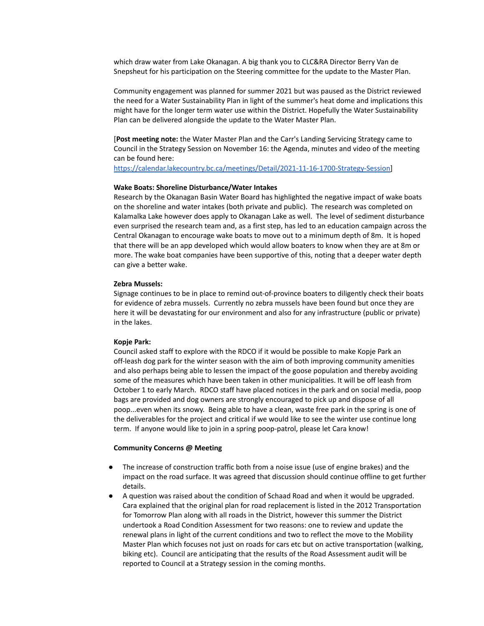which draw water from Lake Okanagan. A big thank you to CLC&RA Director Berry Van de Snepsheut for his participation on the Steering committee for the update to the Master Plan.

Community engagement was planned for summer 2021 but was paused as the District reviewed the need for a Water Sustainability Plan in light of the summer's heat dome and implications this might have for the longer term water use within the District. Hopefully the Water Sustainability Plan can be delivered alongside the update to the Water Master Plan.

[**Post meeting note:** the Water Master Plan and the Carr's Landing Servicing Strategy came to Council in the Strategy Session on November 16: the Agenda, minutes and video of the meeting can be found here:

[https://calendar.lakecountry.bc.ca/meetings/Detail/2021-11-16-1700-Strategy-Session\]](https://calendar.lakecountry.bc.ca/meetings/Detail/2021-11-16-1700-Strategy-Session)

#### **Wake Boats: Shoreline Disturbance/Water Intakes**

Research by the Okanagan Basin Water Board has highlighted the negative impact of wake boats on the shoreline and water intakes (both private and public). The research was completed on Kalamalka Lake however does apply to Okanagan Lake as well. The level of sediment disturbance even surprised the research team and, as a first step, has led to an education campaign across the Central Okanagan to encourage wake boats to move out to a minimum depth of 8m. It is hoped that there will be an app developed which would allow boaters to know when they are at 8m or more. The wake boat companies have been supportive of this, noting that a deeper water depth can give a better wake.

#### **Zebra Mussels:**

Signage continues to be in place to remind out-of-province boaters to diligently check their boats for evidence of zebra mussels. Currently no zebra mussels have been found but once they are here it will be devastating for our environment and also for any infrastructure (public or private) in the lakes.

#### **Kopje Park:**

Council asked staff to explore with the RDCO if it would be possible to make Kopje Park an off-leash dog park for the winter season with the aim of both improving community amenities and also perhaps being able to lessen the impact of the goose population and thereby avoiding some of the measures which have been taken in other municipalities. It will be off leash from October 1 to early March. RDCO staff have placed notices in the park and on social media, poop bags are provided and dog owners are strongly encouraged to pick up and dispose of all poop...even when its snowy. Being able to have a clean, waste free park in the spring is one of the deliverables for the project and critical if we would like to see the winter use continue long term. If anyone would like to join in a spring poop-patrol, please let Cara know!

#### **Community Concerns @ Meeting**

- The increase of construction traffic both from a noise issue (use of engine brakes) and the impact on the road surface. It was agreed that discussion should continue offline to get further details.
- A question was raised about the condition of Schaad Road and when it would be upgraded. Cara explained that the original plan for road replacement is listed in the 2012 Transportation for Tomorrow Plan along with all roads in the District, however this summer the District undertook a Road Condition Assessment for two reasons: one to review and update the renewal plans in light of the current conditions and two to reflect the move to the Mobility Master Plan which focuses not just on roads for cars etc but on active transportation (walking, biking etc). Council are anticipating that the results of the Road Assessment audit will be reported to Council at a Strategy session in the coming months.